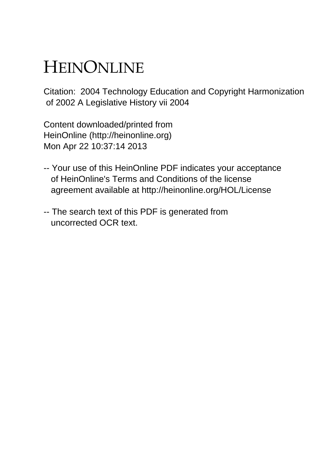# HEINONLINE

Citation: 2004 Technology Education and Copyright Harmonization of 2002 A Legislative History vii 2004

Content downloaded/printed from HeinOnline (http://heinonline.org) Mon Apr 22 10:37:14 2013

- -- Your use of this HeinOnline PDF indicates your acceptance of HeinOnline's Terms and Conditions of the license agreement available at http://heinonline.org/HOL/License
- -- The search text of this PDF is generated from uncorrected OCR text.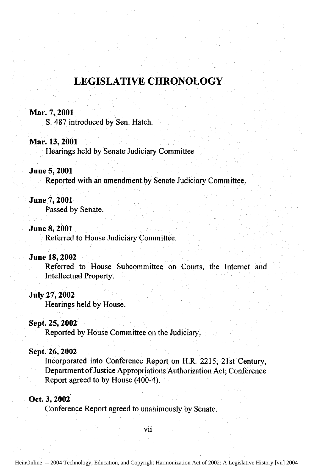## **LEGISLATIVE CHRONOLOGY**

#### **Mar. 7, 2001**

S. 487 introduced by Sen. Hatch.

#### **Mar. 13, 2001**

Hearings held by Senate Judiciary Committee

#### June 5,2001

Reported with an amendment **by** Senate Judiciary Committee.

#### **June 7,** 2001

Passed by Senate.

#### June 8, 2001

Referred to House Judiciary Committee.

#### June **18, 2002**

Referred to House Subcommittee on Courts, the Internet and Intellectual Property.

#### July **27,** 2002

Hearings held **by** House.

#### Sept. **25,** 2002

Reported **by** House Committee on the Judiciary.

#### **Sept. 26, 2002**

Incorporated into Conference Report on H.R. 2215, 21st Century, Department of Justice Appropriations Authorization Act; Conference Report agreed to by House (400-4).

#### Oct. **3,** 2002

Conference Report agreed to unanimously **by** Senate.

vii